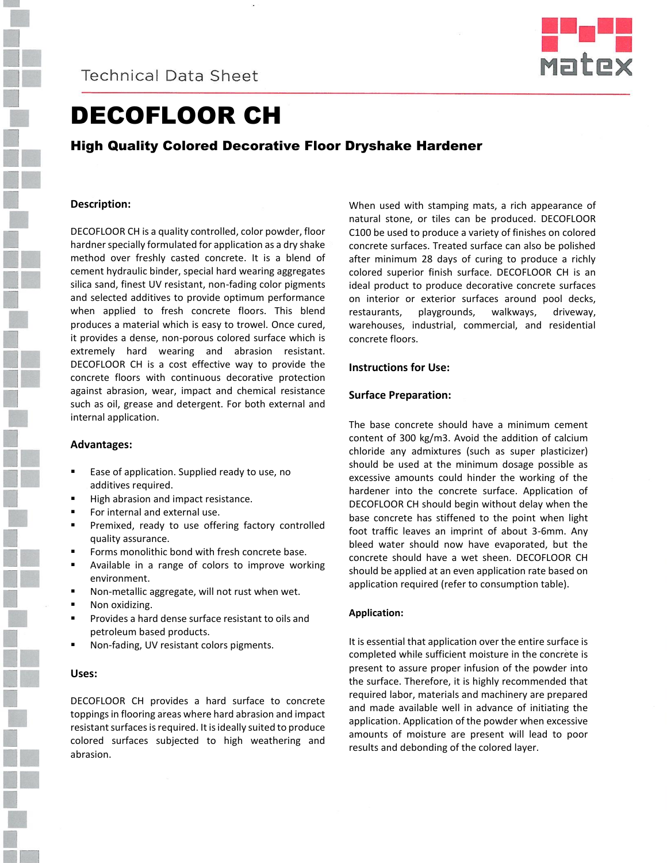



# DECOFLOOR CH

# High Quality Colored Decorative Floor Dryshake Hardener

### **Description:**

DECOFLOOR CH is a quality controlled, color powder, floor hardner specially formulated for application as a dry shake method over freshly casted concrete. It is a blend of cement hydraulic binder, special hard wearing aggregates silica sand, finest UV resistant, non-fading color pigments and selected additives to provide optimum performance when applied to fresh concrete floors. This blend produces a material which is easy to trowel. Once cured, it provides a dense, non-porous colored surface which is extremely hard wearing and abrasion resistant. DECOFLOOR CH is a cost effective way to provide the concrete floors with continuous decorative protection against abrasion, wear, impact and chemical resistance such as oil, grease and detergent. For both external and internal application.

#### **Advantages:**

- Ease of application. Supplied ready to use, no additives required.
- High abrasion and impact resistance.
- For internal and external use.
- **Premixed, ready to use offering factory controlled** quality assurance.
- **Forms monolithic bond with fresh concrete base.**
- **EXEC** Available in a range of colors to improve working environment.
- Non-metallic aggregate, will not rust when wet.
- Non oxidizing.
- Provides a hard dense surface resistant to oils and petroleum based products.
- Non-fading, UV resistant colors pigments.

#### **Uses:**

DECOFLOOR CH provides a hard surface to concrete toppings in flooring areas where hard abrasion and impact resistant surfaces is required. It is ideally suited to produce colored surfaces subjected to high weathering and abrasion.

When used with stamping mats, a rich appearance of natural stone, or tiles can be produced. DECOFLOOR C100 be used to produce a variety of finishes on colored concrete surfaces. Treated surface can also be polished after minimum 28 days of curing to produce a richly colored superior finish surface. DECOFLOOR CH is an ideal product to produce decorative concrete surfaces on interior or exterior surfaces around pool decks, restaurants, playgrounds, walkways, driveway, warehouses, industrial, commercial, and residential concrete floors.

#### **Instructions for Use:**

### **Surface Preparation:**

The base concrete should have a minimum cement content of 300 kg/m3. Avoid the addition of calcium chloride any admixtures (such as super plasticizer) should be used at the minimum dosage possible as excessive amounts could hinder the working of the hardener into the concrete surface. Application of DECOFLOOR CH should begin without delay when the base concrete has stiffened to the point when light foot traffic leaves an imprint of about 3-6mm. Any bleed water should now have evaporated, but the concrete should have a wet sheen. DECOFLOOR CH should be applied at an even application rate based on application required (refer to consumption table).

#### **Application:**

It is essential that application over the entire surface is completed while sufficient moisture in the concrete is present to assure proper infusion of the powder into the surface. Therefore, it is highly recommended that required labor, materials and machinery are prepared and made available well in advance of initiating the application. Application of the powder when excessive amounts of moisture are present will lead to poor results and debonding of the colored layer.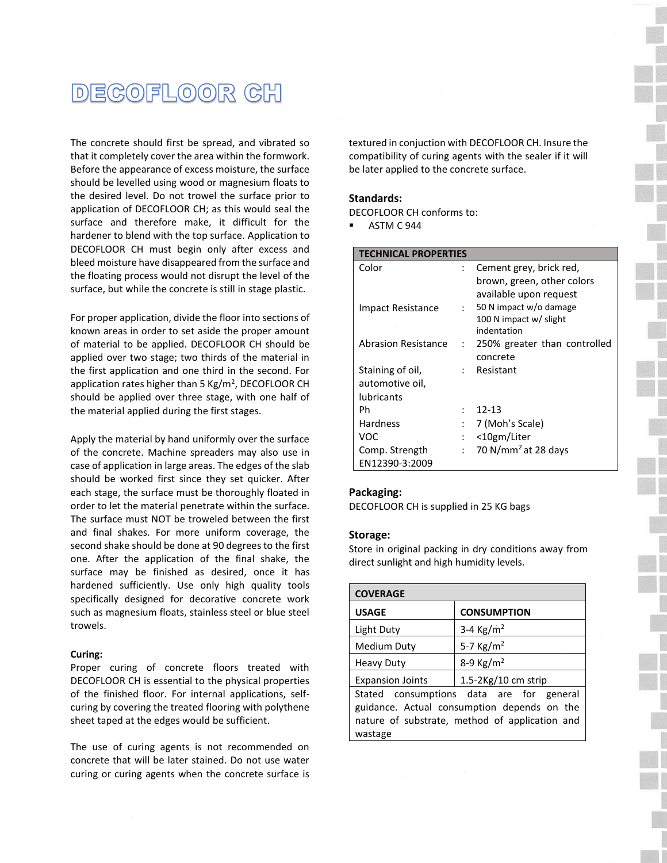# DECOFLOOR CH

The concrete should first be spread, and vibrated so that it completely cover the area within the formwork. Before the appearance of excess moisture, the surface should be levelled using wood or magnesium floats to the desired level. Do not trowel the surface prior to application of DECOFLOOR CH; as this would seal the surface and therefore make, it difficult for the hardener to blend with the top surface. Application to DECOFLOOR CH must begin only after excess and bleed moisture have disappeared from the surface and the floating process would not disrupt the level of the surface, but while the concrete is still in stage plastic.

For proper application, divide the floor into sections of known areas in order to set aside the proper amount of material to be applied. DECOFLOOR CH should be applied over two stage; two thirds of the material in the first application and one third in the second. For application rates higher than 5 Kg/m<sup>2</sup>, DECOFLOOR CH should be applied over three stage, with one half of the material applied during the first stages.

Apply the material by hand uniformly over the surface of the concrete. Machine spreaders may also use in case of application in large areas. The edges of the slab should be worked first since they set quicker. After each stage, the surface must be thoroughly floated in order to let the material penetrate within the surface. The surface must NOT be troweled between the first and final shakes. For more uniform coverage, the second shake should be done at 90 degrees to the first one. After the application of the final shake, the surface may be finished as desired, once it has hardened sufficiently. Use only high quality tools specifically designed for decorative concrete work such as magnesium floats, stainless steel or blue steel trowels.

#### **Curing:**

Proper curing of concrete floors treated with DECOFLOOR CH is essential to the physical properties of the finished floor. For internal applications, selfcuring by covering the treated flooring with polythene sheet taped at the edges would be sufficient.

The use of curing agents is not recommended on concrete that will be later stained. Do not use water curing or curing agents when the concrete surface is textured in conjuction with DECOFLOOR CH. Insure the compatibility of curing agents with the sealer if it will be later applied to the concrete surface.

#### **Standards:**

DECOFLOOR CH conforms to:

ASTM C 944

| <b>TECHNICAL PROPERTIES</b> |                           |                                 |
|-----------------------------|---------------------------|---------------------------------|
| Color                       | $\colon$                  | Cement grey, brick red,         |
|                             |                           | brown, green, other colors      |
|                             |                           | available upon request          |
| Impact Resistance           | $\mathcal{L}$             | 50 N impact w/o damage          |
|                             |                           | 100 N impact w/ slight          |
|                             |                           | indentation                     |
| <b>Abrasion Resistance</b>  | $\ddot{\phantom{0}}$      | 250% greater than controlled    |
|                             |                           | concrete                        |
| Staining of oil,            | $\mathbb{R}^{\mathbb{Z}}$ | Resistant                       |
| automotive oil,             |                           |                                 |
| <b>lubricants</b>           |                           |                                 |
| Ph                          |                           | $12 - 13$                       |
| Hardness                    |                           | 7 (Moh's Scale)                 |
| VOC                         | :                         | <10gm/Liter                     |
| Comp. Strength              | $\cdot$ .                 | 70 N/mm <sup>2</sup> at 28 days |
| EN12390-3:2009              |                           |                                 |

#### **Packaging:**

DECOFLOOR CH is supplied in 25 KG bags

#### **Storage:**

Store in original packing in dry conditions away from direct sunlight and high humidity levels.

| <b>COVERAGE</b>                                                                                                                                      |                          |  |
|------------------------------------------------------------------------------------------------------------------------------------------------------|--------------------------|--|
| <b>USAGE</b>                                                                                                                                         | <b>CONSUMPTION</b>       |  |
| Light Duty                                                                                                                                           | 3-4 $\text{Kg/m}^2$      |  |
| Medium Duty                                                                                                                                          | 5-7 $Kg/m^2$             |  |
| <b>Heavy Duty</b>                                                                                                                                    | 8-9 $\text{Kg/m}^2$      |  |
| <b>Expansion Joints</b>                                                                                                                              | $1.5 - 2$ Kg/10 cm strip |  |
| Stated consumptions data are for general<br>guidance. Actual consumption depends on the<br>nature of substrate, method of application and<br>wastage |                          |  |